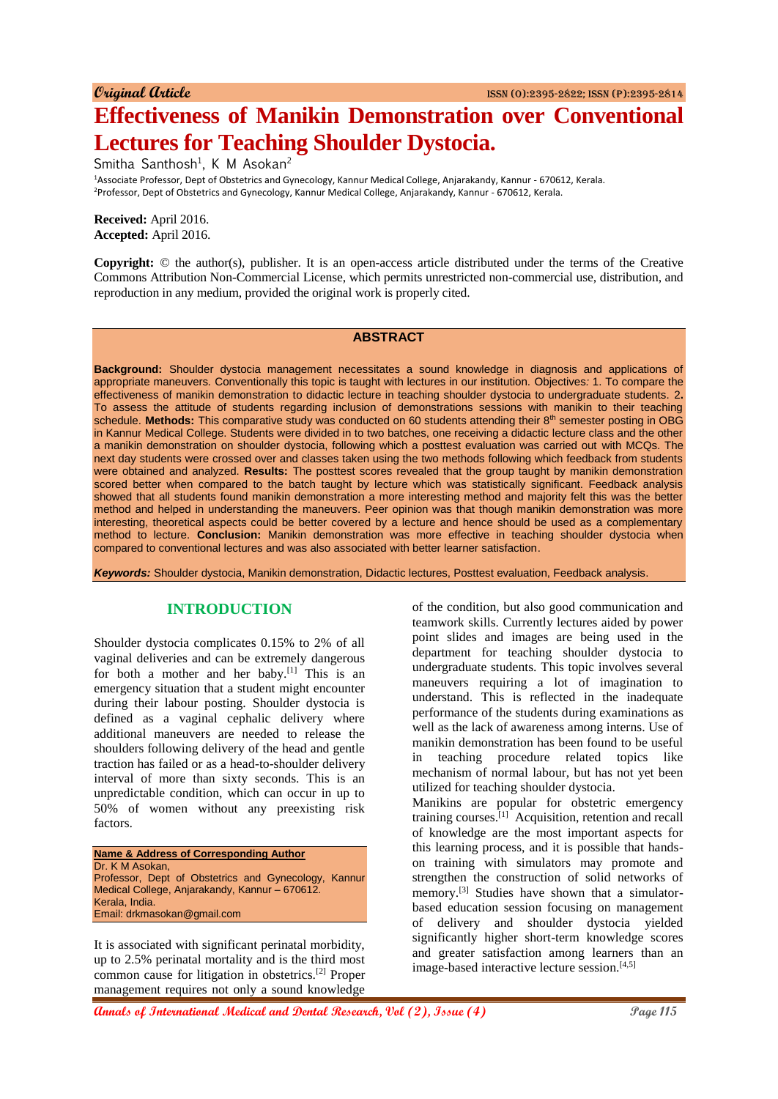# **Effectiveness of Manikin Demonstration over Conventional Lectures for Teaching Shoulder Dystocia.**

Smitha Santhosh<sup>1</sup>, K M Asokan<sup>2</sup>

<sup>1</sup>Associate Professor, Dept of Obstetrics and Gynecology, Kannur Medical College, Anjarakandy, Kannur - 670612, Kerala. <sup>2</sup>Professor, Dept of Obstetrics and Gynecology, Kannur Medical College, Anjarakandy, Kannur - 670612, Kerala.

**Received:** April 2016. **Accepted:** April 2016.

**Copyright:** © the author(s), publisher. It is an open-access article distributed under the terms of the Creative Commons Attribution Non-Commercial License, which permits unrestricted non-commercial use, distribution, and reproduction in any medium, provided the original work is properly cited.

#### **ABSTRACT**

**Background:** Shoulder dystocia management necessitates a sound knowledge in diagnosis and applications of appropriate maneuvers*.* Conventionally this topic is taught with lectures in our institution. Objectives*:* 1. To compare the effectiveness of manikin demonstration to didactic lecture in teaching shoulder dystocia to undergraduate students. 2**.** To assess the attitude of students regarding inclusion of demonstrations sessions with manikin to their teaching schedule. Methods: This comparative study was conducted on 60 students attending their 8<sup>th</sup> semester posting in OBG in Kannur Medical College. Students were divided in to two batches, one receiving a didactic lecture class and the other a manikin demonstration on shoulder dystocia, following which a posttest evaluation was carried out with MCQs. The next day students were crossed over and classes taken using the two methods following which feedback from students were obtained and analyzed. **Results:** The posttest scores revealed that the group taught by manikin demonstration scored better when compared to the batch taught by lecture which was statistically significant. Feedback analysis showed that all students found manikin demonstration a more interesting method and majority felt this was the better method and helped in understanding the maneuvers. Peer opinion was that though manikin demonstration was more interesting, theoretical aspects could be better covered by a lecture and hence should be used as a complementary method to lecture. **Conclusion:** Manikin demonstration was more effective in teaching shoulder dystocia when compared to conventional lectures and was also associated with better learner satisfaction.

*Keywords:* Shoulder dystocia, Manikin demonstration, Didactic lectures, Posttest evaluation, Feedback analysis.

## **INTRODUCTION**

Shoulder dystocia complicates 0.15% to 2% of all vaginal deliveries and can be extremely dangerous for both a mother and her baby.[1] This is an emergency situation that a student might encounter during their labour posting. Shoulder dystocia is defined as a vaginal cephalic delivery where additional maneuvers are needed to release the shoulders following delivery of the head and gentle traction has failed or as a head-to-shoulder delivery interval of more than sixty seconds. This is an unpredictable condition, which can occur in up to 50% of women without any preexisting risk factors.

**Name & Address of Corresponding Author** Dr. K M Asokan, Professor, Dept of Obstetrics and Gynecology, Kannur Medical College, Anjarakandy, Kannur – 670612. Kerala, India. Email: drkmasokan@gmail.com

It is associated with significant perinatal morbidity, up to 2.5% perinatal mortality and is the third most common cause for litigation in obstetrics.[2] Proper management requires not only a sound knowledge

of the condition, but also good communication and teamwork skills. Currently lectures aided by power point slides and images are being used in the department for teaching shoulder dystocia to undergraduate students. This topic involves several maneuvers requiring a lot of imagination to understand. This is reflected in the inadequate performance of the students during examinations as well as the lack of awareness among interns. Use of manikin demonstration has been found to be useful in teaching procedure related topics like mechanism of normal labour, but has not yet been utilized for teaching shoulder dystocia.

Manikins are popular for obstetric emergency training courses.[1] Acquisition, retention and recall of knowledge are the most important aspects for this learning process, and it is possible that handson training with simulators may promote and strengthen the construction of solid networks of memory.<sup>[3]</sup> Studies have shown that a simulatorbased education session focusing on management of delivery and shoulder dystocia yielded significantly higher short-term knowledge scores and greater satisfaction among learners than an image-based interactive lecture session.<sup>[4,5]</sup>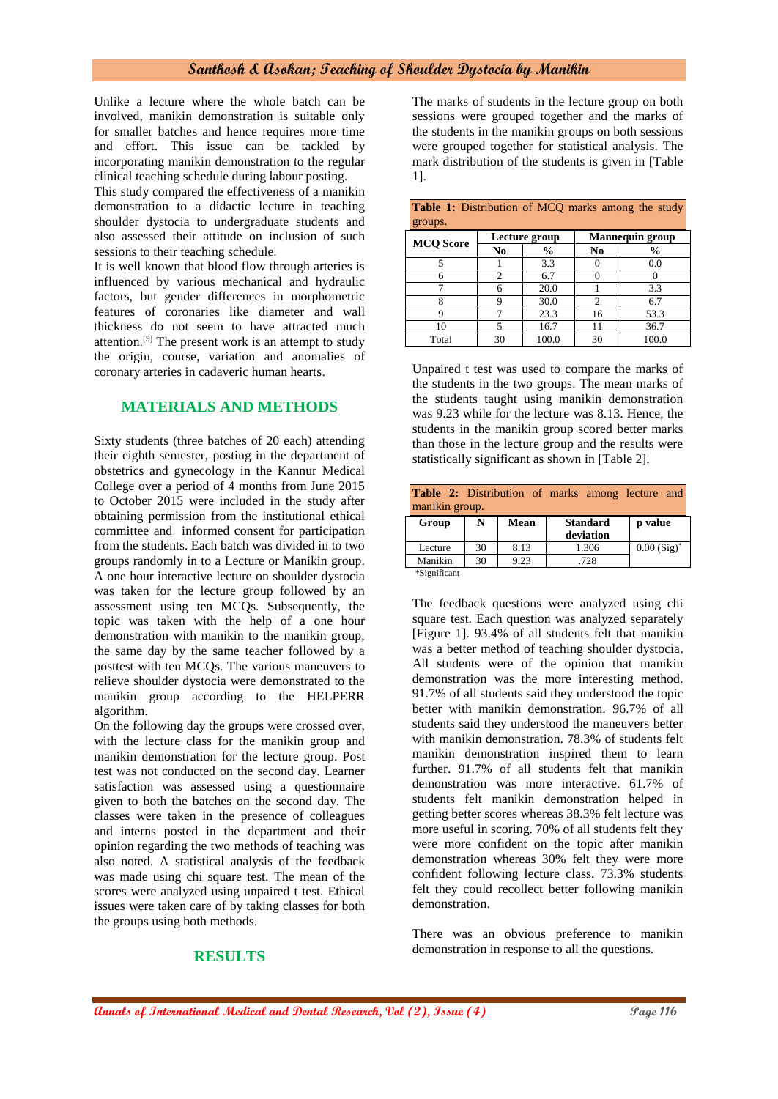#### **Santhosh & Asokan; Teaching of Shoulder Dystocia by Manikin**

Unlike a lecture where the whole batch can be involved, manikin demonstration is suitable only for smaller batches and hence requires more time and effort. This issue can be tackled by incorporating manikin demonstration to the regular clinical teaching schedule during labour posting.

This study compared the effectiveness of a manikin demonstration to a didactic lecture in teaching shoulder dystocia to undergraduate students and also assessed their attitude on inclusion of such sessions to their teaching schedule.

It is well known that blood flow through arteries is influenced by various mechanical and hydraulic factors, but gender differences in morphometric features of coronaries like diameter and wall thickness do not seem to have attracted much attention.[5] The present work is an attempt to study the origin, course, variation and anomalies of coronary arteries in cadaveric human hearts.

### **MATERIALS AND METHODS**

Sixty students (three batches of 20 each) attending their eighth semester, posting in the department of obstetrics and gynecology in the Kannur Medical College over a period of 4 months from June 2015 to October 2015 were included in the study after obtaining permission from the institutional ethical committee and informed consent for participation from the students. Each batch was divided in to two groups randomly in to a Lecture or Manikin group. A one hour interactive lecture on shoulder dystocia was taken for the lecture group followed by an assessment using ten MCQs. Subsequently, the topic was taken with the help of a one hour demonstration with manikin to the manikin group, the same day by the same teacher followed by a posttest with ten MCQs. The various maneuvers to relieve shoulder dystocia were demonstrated to the manikin group according to the HELPERR algorithm.

On the following day the groups were crossed over, with the lecture class for the manikin group and manikin demonstration for the lecture group. Post test was not conducted on the second day. Learner satisfaction was assessed using a questionnaire given to both the batches on the second day. The classes were taken in the presence of colleagues and interns posted in the department and their opinion regarding the two methods of teaching was also noted. A statistical analysis of the feedback was made using chi square test. The mean of the scores were analyzed using unpaired t test. Ethical issues were taken care of by taking classes for both the groups using both methods.

#### **RESULTS**

The marks of students in the lecture group on both sessions were grouped together and the marks of the students in the manikin groups on both sessions were grouped together for statistical analysis. The mark distribution of the students is given in [Table 1].

| groups.          |                |               |                        |               |  |  |  |
|------------------|----------------|---------------|------------------------|---------------|--|--|--|
| <b>MCQ</b> Score |                | Lecture group | <b>Mannequin group</b> |               |  |  |  |
|                  | No             | $\frac{6}{6}$ | No                     | $\frac{6}{6}$ |  |  |  |
|                  |                | 3.3           |                        | 0.0           |  |  |  |
|                  | $\overline{c}$ | 6.7           |                        |               |  |  |  |
|                  | 6              | 20.0          |                        | 3.3           |  |  |  |
|                  |                | 30.0          |                        | 6.7           |  |  |  |
|                  |                | 23.3          | 16                     | 53.3          |  |  |  |
| 10               | ς              | 16.7          |                        | 36.7          |  |  |  |
| Total            | 30             | 100.0         | 30                     | 100.0         |  |  |  |

|         | <b>Table 1:</b> Distribution of MCQ marks among the study |  |  |  |
|---------|-----------------------------------------------------------|--|--|--|
| groups. |                                                           |  |  |  |

Unpaired t test was used to compare the marks of the students in the two groups. The mean marks of the students taught using manikin demonstration was 9.23 while for the lecture was 8.13. Hence, the students in the manikin group scored better marks than those in the lecture group and the results were statistically significant as shown in [Table 2].

| <b>Table 2:</b> Distribution of marks among lecture and |    |             |                 |               |  |  |  |
|---------------------------------------------------------|----|-------------|-----------------|---------------|--|--|--|
| manikin group.                                          |    |             |                 |               |  |  |  |
| Group                                                   | N  | <b>Mean</b> | <b>Standard</b> | p value       |  |  |  |
|                                                         |    |             | deviation       |               |  |  |  |
| Lecture                                                 | 30 | 8.13        | 1.306           | $0.00(Sig)^*$ |  |  |  |
| Manikin                                                 | 30 | 9.23        | .728            |               |  |  |  |
| $*$ Sionificant                                         |    |             |                 |               |  |  |  |

\*Significant

The feedback questions were analyzed using chi square test. Each question was analyzed separately [Figure 1]. 93.4% of all students felt that manikin was a better method of teaching shoulder dystocia. All students were of the opinion that manikin demonstration was the more interesting method. 91.7% of all students said they understood the topic better with manikin demonstration. 96.7% of all students said they understood the maneuvers better with manikin demonstration. 78.3% of students felt manikin demonstration inspired them to learn further. 91.7% of all students felt that manikin demonstration was more interactive. 61.7% of students felt manikin demonstration helped in getting better scores whereas 38.3% felt lecture was more useful in scoring. 70% of all students felt they were more confident on the topic after manikin demonstration whereas 30% felt they were more confident following lecture class. 73.3% students felt they could recollect better following manikin demonstration.

There was an obvious preference to manikin demonstration in response to all the questions.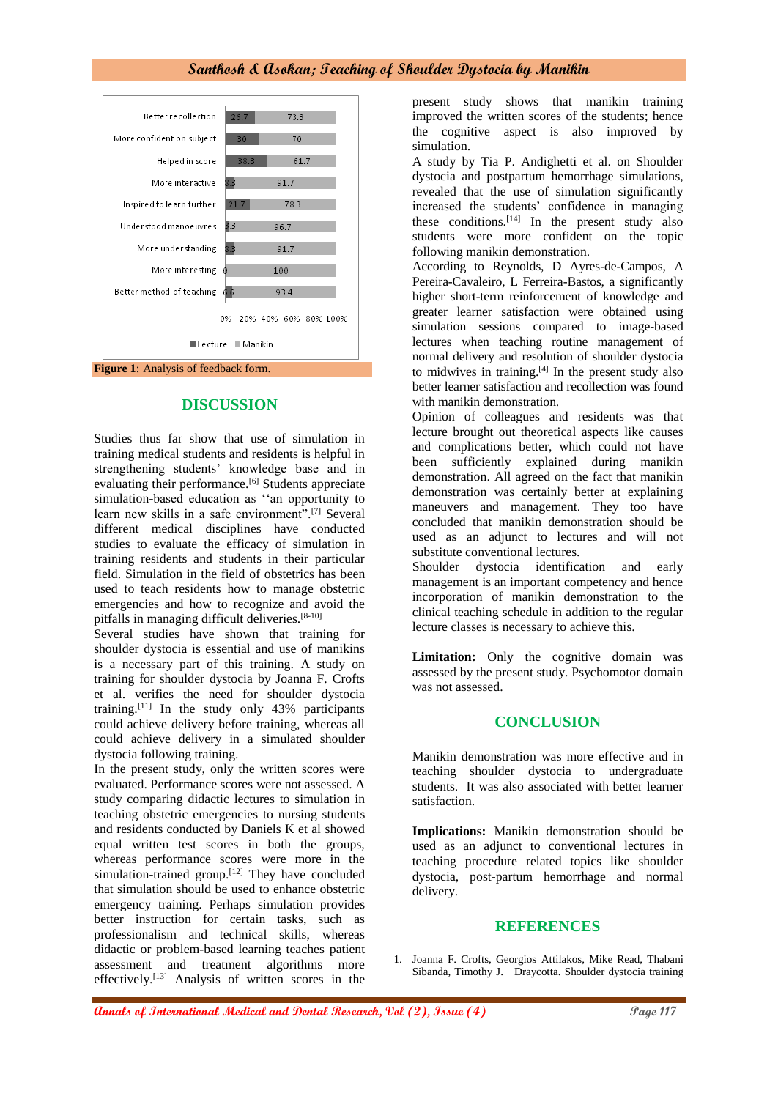#### **Santhosh & Asokan; Teaching of Shoulder Dystocia by Manikin**



#### **DISCUSSION**

Studies thus far show that use of simulation in training medical students and residents is helpful in strengthening students' knowledge base and in evaluating their performance.<sup>[6]</sup> Students appreciate simulation-based education as ''an opportunity to learn new skills in a safe environment".[7] Several different medical disciplines have conducted studies to evaluate the efficacy of simulation in training residents and students in their particular field. Simulation in the field of obstetrics has been used to teach residents how to manage obstetric emergencies and how to recognize and avoid the pitfalls in managing difficult deliveries.<sup>[8-10]</sup>

Several studies have shown that training for shoulder dystocia is essential and use of manikins is a necessary part of this training. A study on training for shoulder dystocia by Joanna F. Crofts et al. verifies the need for shoulder dystocia training.<sup>[11]</sup> In the study only  $43\%$  participants could achieve delivery before training, whereas all could achieve delivery in a simulated shoulder dystocia following training.

In the present study, only the written scores were evaluated. Performance scores were not assessed. A study comparing didactic lectures to simulation in teaching obstetric emergencies to nursing students and residents conducted by Daniels K et al showed equal written test scores in both the groups, whereas performance scores were more in the simulation-trained group.<sup>[12]</sup> They have concluded that simulation should be used to enhance obstetric emergency training. Perhaps simulation provides better instruction for certain tasks, such as professionalism and technical skills, whereas didactic or problem-based learning teaches patient assessment and treatment algorithms more effectively.[13] Analysis of written scores in the

present study shows that manikin training improved the written scores of the students; hence the cognitive aspect is also improved by simulation.

A study by Tia P. Andighetti et al. on Shoulder dystocia and postpartum hemorrhage simulations, revealed that the use of simulation significantly increased the students' confidence in managing these conditions.<sup>[14]</sup> In the present study also students were more confident on the topic following manikin demonstration.

According to Reynolds, D Ayres-de-Campos, A Pereira-Cavaleiro, L Ferreira-Bastos, a significantly higher short-term reinforcement of knowledge and greater learner satisfaction were obtained using simulation sessions compared to image-based lectures when teaching routine management of normal delivery and resolution of shoulder dystocia to midwives in training. $[4]$  In the present study also better learner satisfaction and recollection was found with manikin demonstration.

Opinion of colleagues and residents was that lecture brought out theoretical aspects like causes and complications better, which could not have been sufficiently explained during manikin demonstration. All agreed on the fact that manikin demonstration was certainly better at explaining maneuvers and management. They too have concluded that manikin demonstration should be used as an adjunct to lectures and will not substitute conventional lectures.

Shoulder dystocia identification and early management is an important competency and hence incorporation of manikin demonstration to the clinical teaching schedule in addition to the regular lecture classes is necessary to achieve this.

Limitation: Only the cognitive domain was assessed by the present study. Psychomotor domain was not assessed.

#### **CONCLUSION**

Manikin demonstration was more effective and in teaching shoulder dystocia to undergraduate students. It was also associated with better learner satisfaction.

**Implications:** Manikin demonstration should be used as an adjunct to conventional lectures in teaching procedure related topics like shoulder dystocia, post-partum hemorrhage and normal delivery.

#### **REFERENCES**

1. Joanna F. Crofts, Georgios Attilakos, Mike Read, Thabani Sibanda, Timothy J. Draycotta. Shoulder dystocia training